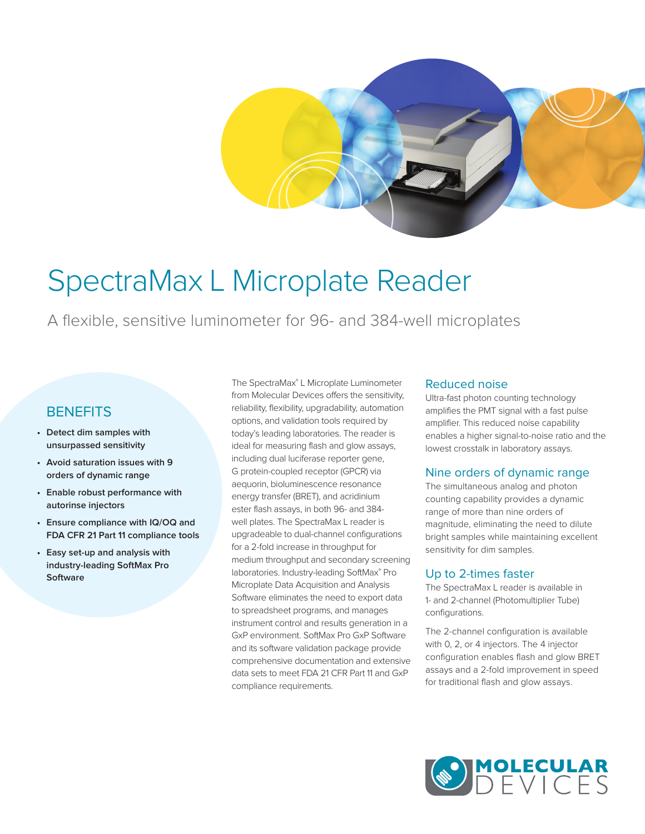# SpectraMax L Microplate Reader

A flexible, sensitive luminometer for 96- and 384-well microplates

## **BENEFITS**

- **• Detect dim samples with unsurpassed sensitivity**
- **• Avoid saturation issues with 9 orders of dynamic range**
- **• Enable robust performance with autorinse injectors**
- **• Ensure compliance with IQ/OQ and FDA CFR 21 Part 11 compliance tools**
- **• Easy set-up and analysis with industry-leading SoftMax Pro Software**

The SpectraMax® L Microplate Luminometer from Molecular Devices offers the sensitivity, reliability, flexibility, upgradability, automation options, and validation tools required by today's leading laboratories. The reader is ideal for measuring flash and glow assays, including dual luciferase reporter gene, G protein-coupled receptor (GPCR) via aequorin, bioluminescence resonance energy transfer (BRET), and acridinium ester flash assays, in both 96- and 384 well plates. The SpectraMax L reader is upgradeable to dual-channel configurations for a 2-fold increase in throughput for medium throughput and secondary screening laboratories. Industry-leading SoftMax® Pro Microplate Data Acquisition and Analysis Software eliminates the need to export data to spreadsheet programs, and manages instrument control and results generation in a GxP environment. SoftMax Pro GxP Software and its software validation package provide comprehensive documentation and extensive data sets to meet FDA 21 CFR Part 11 and GxP compliance requirements.

#### Reduced noise

Ultra-fast photon counting technology amplifies the PMT signal with a fast pulse amplifier. This reduced noise capability enables a higher signal-to-noise ratio and the lowest crosstalk in laboratory assays.

### Nine orders of dynamic range

The simultaneous analog and photon counting capability provides a dynamic range of more than nine orders of magnitude, eliminating the need to dilute bright samples while maintaining excellent sensitivity for dim samples.

### Up to 2-times faster

The SpectraMax L reader is available in 1- and 2-channel (Photomultiplier Tube) configurations.

The 2-channel configuration is available with 0, 2, or 4 injectors. The 4 injector configuration enables flash and glow BRET assays and a 2-fold improvement in speed for traditional flash and glow assays.